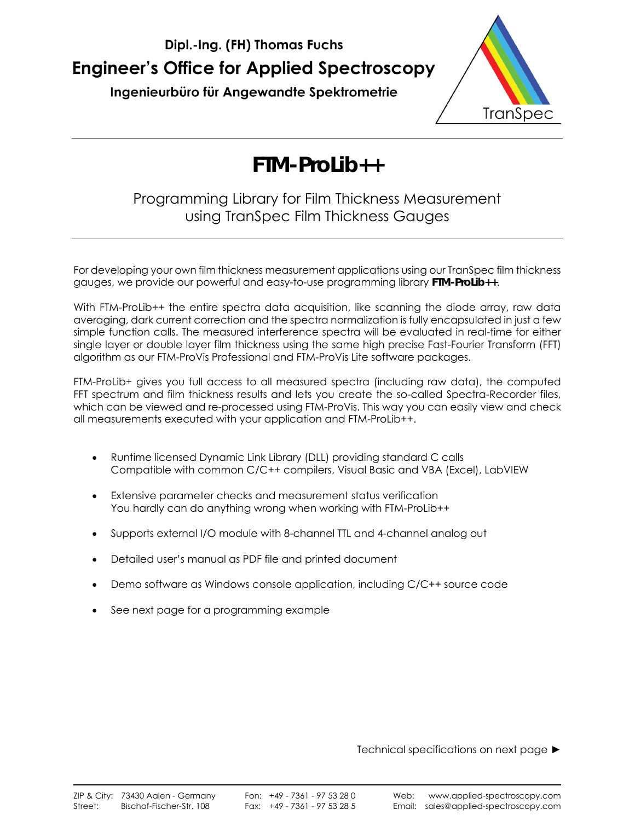

Ingenieurbüro für Angewandte Spektrometrie



# **FTM-ProLib++**

## Programming Library for Film Thickness Measurement using TranSpec Film Thickness Gauges

For developing your own film thickness measurement applications using our TranSpec film thickness gauges, we provide our powerful and easy-to-use programming library **FTM-ProLib++**.

With FTM-ProLib++ the entire spectra data acquisition, like scanning the diode array, raw data averaging, dark current correction and the spectra normalization is fully encapsulated in just a few simple function calls. The measured interference spectra will be evaluated in real-time for either single layer or double layer film thickness using the same high precise Fast-Fourier Transform (FFT) algorithm as our FTM-ProVis Professional and FTM-ProVis Lite software packages.

FTM-ProLib+ gives you full access to all measured spectra (including raw data), the computed FFT spectrum and film thickness results and lets you create the so-called Spectra-Recorder files, which can be viewed and re-processed using FTM-ProVis. This way you can easily view and check all measurements executed with your application and FTM-ProLib++.

- Runtime licensed Dynamic Link Library (DLL) providing standard C calls Compatible with common C/C++ compilers, Visual Basic and VBA (Excel), LabVIEW
- Extensive parameter checks and measurement status verification You hardly can do anything wrong when working with FTM-ProLib++
- Supports external I/O module with 8-channel TTL and 4-channel analog out
- Detailed user's manual as PDF file and printed document
- Demo software as Windows console application, including C/C++ source code
- See next page for a programming example

Technical specifications on next page ►